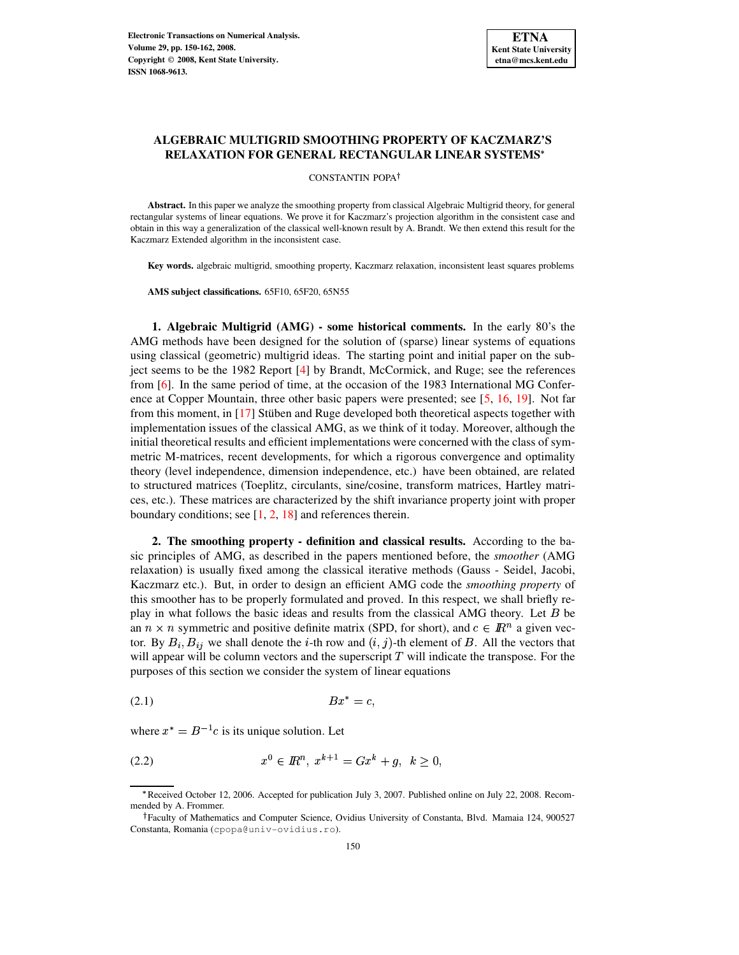# **ALGEBRAIC MULTIGRID SMOOTHING PROPERTY OF KACZMARZ'S RELAXATION FOR GENERAL RECTANGULAR LINEAR SYSTEMS**

CONSTANTIN POPA

**Abstract.** In this paper we analyze the smoothing property from classical Algebraic Multigrid theory, for general rectangular systems of linear equations. We prove it for Kaczmarz's projection algorithm in the consistent case and obtain in this way a generalization of the classical well-known result by A. Brandt. We then extend this result for the Kaczmarz Extended algorithm in the inconsistent case.

**Key words.** algebraic multigrid, smoothing property, Kaczmarz relaxation, inconsistent least squares problems

**AMS subject classifications.** 65F10, 65F20, 65N55

**1. Algebraic Multigrid (AMG) - some historical comments.** In the early 80's the AMG methods have been designed for the solution of (sparse) linear systems of equations using classical (geometric) multigrid ideas. The starting point and initial paper on the subject seems to be the 1982 Report [\[4\]](#page-11-0) by Brandt, McCormick, and Ruge; see the references from [\[6\]](#page-11-1). In the same period of time, at the occasion of the 1983 International MG Conference at Copper Mountain, three other basic papers were presented; see [\[5,](#page-11-2) [16,](#page-11-3) [19\]](#page-12-0). Not far from this moment, in  $[17]$  Stüben and Ruge developed both theoretical aspects together with implementation issues of the classical AMG, as we think of it today. Moreover, although the initial theoretical results and efficient implementations were concerned with the class of symmetric M-matrices, recent developments, for which a rigorous convergence and optimality theory (level independence, dimension independence, etc.) have been obtained, are related to structured matrices (Toeplitz, circulants, sine/cosine, transform matrices, Hartley matrices, etc.). These matrices are characterized by the shift invariance property joint with proper boundary conditions; see  $[1, 2, 18]$  $[1, 2, 18]$  $[1, 2, 18]$  $[1, 2, 18]$  $[1, 2, 18]$  and references therein.

**2. The smoothing property - definition and classical results.** According to the basic principles of AMG, as described in the papers mentioned before, the *smoother* (AMG relaxation) is usually fixed among the classical iterative methods (Gauss - Seidel, Jacobi, Kaczmarz etc.). But, in order to design an efficient AMG code the *smoothing property* of this smoother has to be properly formulated and proved. In this respect, we shall briefly replay in what follows the basic ideas and results from the classical AMG theory. Let  $B$  be an  $n \times n$  symmetric and positive definite matrix (SPD, for short), and  $c \in \mathbb{R}^n$  a given vector. By  $B_i$ ,  $B_{ij}$  we shall denote the *i*-th row and  $(i, j)$ -th element of B. All the vectors that will appear will be column vectors and the superscript  $T$  will indicate the transpose. For the purposes of this section we consider the system of linear equations

<span id="page-0-0"></span>(2.1)  $Bx^* = c$ ,

where  $x^* = B^{-1}c$  is its unique solution. Let

<span id="page-0-1"></span>
$$
(2.2) \t x0 \in I\!\!Rn, xk+1 = Gxk + g, k \ge 0,
$$

<sup>;</sup> Received October 12, 2006. Accepted for publication July 3, 2007. Published online on July 22, 2008. Recommended by A. Frommer.

Faculty of Mathematics and Computer Science, Ovidius University of Constanta, Blvd. Mamaia 124, 900527 Constanta, Romania (cpopa@univ-ovidius.ro).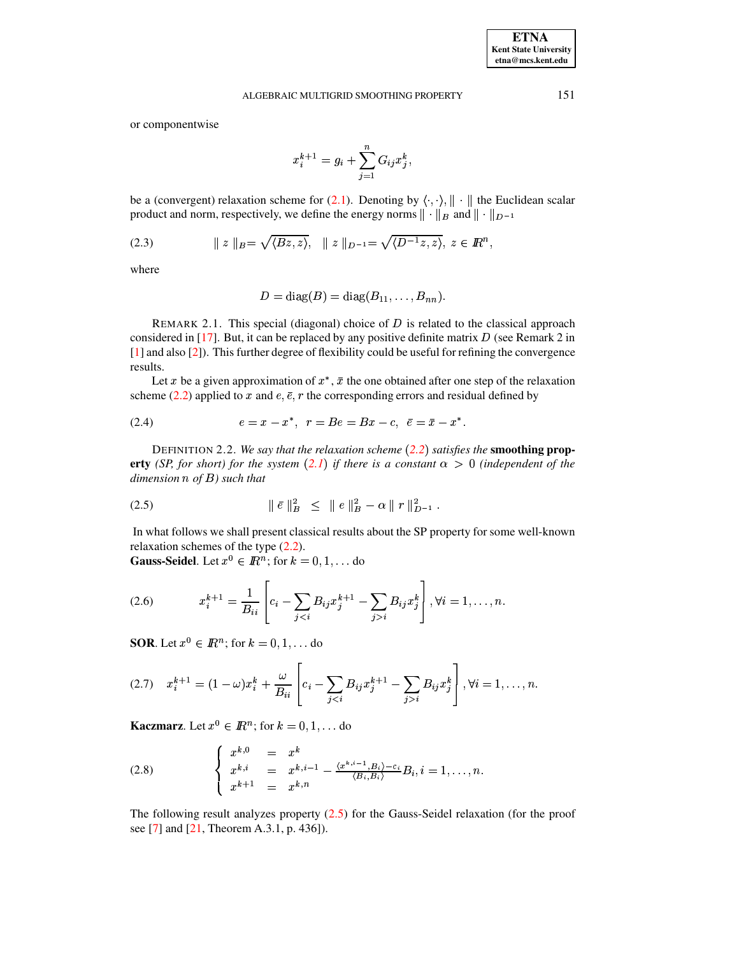or componentwise

$$
x_i^{k+1}=g_i+\sum_{j=1}^n G_{ij}x_j^k,
$$

be a (convergent) relaxation scheme for [\(2.1\)](#page-0-0). Denoting by  $\langle \cdot, \cdot \rangle$ ,  $\|\cdot\|$  the Euclidean scalar product and norm, respectively, we define the energy norms  $\|\cdot\|_B$  and  $\|\cdot\|_{D^{-1}}$ 

<span id="page-1-6"></span>(2.3) 
$$
\| z \|_{B} = \sqrt{\langle Bz, z \rangle}, \quad \| z \|_{D^{-1}} = \sqrt{\langle D^{-1}z, z \rangle}, \ z \in \mathbb{R}^{n},
$$

where

$$
D = diag(B) = diag(B_{11}, \ldots, B_{nn}).
$$

REMARK 2.1. This special (diagonal) choice of  $D$  is related to the classical approach considered in  $[17]$ . But, it can be replaced by any positive definite matrix D (see Remark 2 in [\[1\]](#page-11-5) and also [\[2\]](#page-11-6)). This further degree of flexibility could be useful for refining the convergence results.

Let x be a given approximation of  $x^*$ ,  $\bar{x}$  the one obtained after one step of the relaxation scheme [\(2.2\)](#page-0-1) applied to x and  $e, \bar{e}, r$  the corresponding errors and residual defined by

<span id="page-1-5"></span>(2.4) 
$$
e = x - x^*, \ \ r = Be = Bx - c, \ \ \bar{e} = \bar{x} - x^*.
$$

DEFINITION 2.2. *We say that the relaxation scheme [2.2](#page-0-1) satisfies the* **smoothing property** (SP, for short) for the system ([2.1](#page-0-0)) if there is a constant  $\alpha > 0$  (independent of the *dimension of* -*) such that*

<span id="page-1-0"></span>
$$
(2.5) \t\t\t ||\bar{e}||_B^2 \leq ||e||_B^2 - \alpha ||r||_{D^{-1}}^2.
$$

In what follows we shall present classical results about the SP property for some well-known relaxation schemes of the type [\(2.2\)](#page-0-1).

**Gauss-Seidel**. Let  $x^0 \in \mathbb{R}^n$ ; for  $k = 0, 1, \ldots$  do

<span id="page-1-1"></span>(2.6) 
$$
x_i^{k+1} = \frac{1}{B_{ii}} \left[ c_i - \sum_{j < i} B_{ij} x_j^{k+1} - \sum_{j > i} B_{ij} x_j^k \right], \forall i = 1, \dots, n.
$$

**SOR**. Let  $x^0 \in I\!\!R^n$ ; for  $k = 0, 1, \ldots$  do

<span id="page-1-2"></span>
$$
(2.7) \t x_i^{k+1} = (1 - \omega)x_i^k + \frac{\omega}{B_{ii}} \left[ c_i - \sum_{j < i} B_{ij} x_j^{k+1} - \sum_{j > i} B_{ij} x_j^k \right], \forall i = 1, \dots, n.
$$

**Kaczmarz**. Let  $x^0 \in \mathbb{R}^n$ ; for  $k = 0, 1, \dots$  do

<span id="page-1-4"></span>(2.8) 
$$
\begin{cases} x^{k,0} = x^k \\ x^{k,i} = x^{k,i-1} - \frac{\langle x^{k,i-1}, B_i \rangle - c_i}{\langle B_i, B_i \rangle} B_i, i = 1, ..., n. \\ x^{k+1} = x^{k,n} \end{cases}
$$

<span id="page-1-3"></span>The following result analyzes property [\(2.5\)](#page-1-0) for the Gauss-Seidel relaxation (for the proof see [\[7\]](#page-11-7) and [\[21,](#page-12-2) Theorem A.3.1, p. 436]).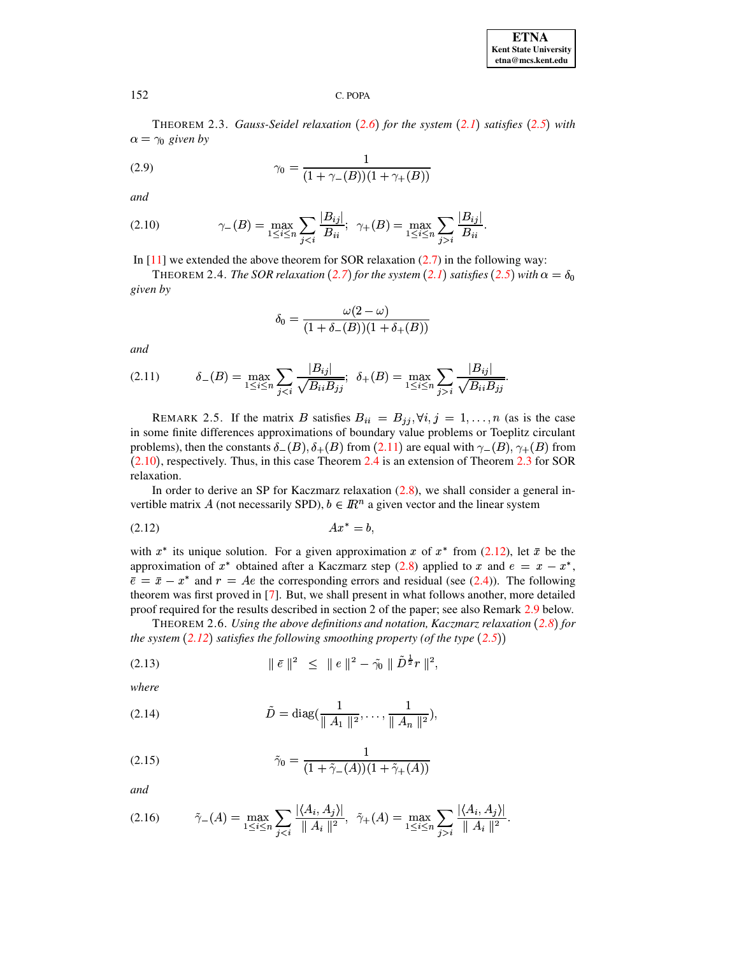THEOREM 2.3. *Gauss-Seidel relaxation [2.6](#page-1-1) for the system [2.1](#page-0-0) satisfies [2.5](#page-1-0) with*  $\alpha = \gamma_0$  given by

<span id="page-2-5"></span>(2.9) 
$$
\gamma_0 = \frac{1}{(1 + \gamma_-(B))(1 + \gamma_+(B))}
$$

*and*

<span id="page-2-1"></span>(2.10) 
$$
\gamma_{-}(B) = \max_{1 \leq i \leq n} \sum_{j < i} \frac{|B_{ij}|}{B_{ii}}; \ \ \gamma_{+}(B) = \max_{1 \leq i \leq n} \sum_{j > i} \frac{|B_{ij}|}{B_{ii}}.
$$

In  $[11]$  we extended the above theorem for SOR relaxation [\(2.7\)](#page-1-2) in the following way:

THEOREM 2.4. *The SOR relaxation* ([2.7](#page-1-2)) *for the system* ([2.1](#page-0-0)) *satisfies* ([2.5](#page-1-0)) *with*  $\alpha = \delta_0$ *given by*

<span id="page-2-2"></span>
$$
\delta_0 = \frac{\omega(2-\omega)}{(1+\delta_-(B))(1+\delta_+(B))}
$$

*and*

<span id="page-2-0"></span>
$$
(2.11) \t\t\t\t\t\delta_{-}(B) = \max_{1 \leq i \leq n} \sum_{j < i} \frac{|B_{ij}|}{\sqrt{B_{ii}B_{jj}}}; \ \ \delta_{+}(B) = \max_{1 \leq i \leq n} \sum_{j > i} \frac{|B_{ij}|}{\sqrt{B_{ii}B_{jj}}}.
$$

REMARK 2.5. If the matrix B satisfies  $B_{ii} = B_{jj}$ ,  $\forall i, j = 1, ..., n$  (as is the case in some finite differences approximations of boundary value problems or Toeplitz circulant problems), then the constants  $\delta_-(B), \delta_+(B)$  from  $(2.11)$  $(2.11)$  $(2.11)$  are equal with  $\gamma_-(B), \gamma_+(B)$  from  $(2.10)$  $(2.10)$  $(2.10)$ , respectively. Thus, in this case Theorem [2.4](#page-2-2) is an extension of Theorem [2.3](#page-1-3) for SOR relaxation.

In order to derive an SP for Kaczmarz relaxation [\(2.8\)](#page-1-4), we shall consider a general invertible matrix A (not necessarily SPD),  $b \in \mathbb{R}^n$  a given vector and the linear system

<span id="page-2-3"></span>
$$
(2.12) \t\t Ax^* = b,
$$

with  $x^*$  its unique solution. For a given approximation x of  $x^*$  from [\(2.12\)](#page-2-3), let  $\bar{x}$  be the approximation of  $x^*$  obtained after a Kaczmarz step [\(2.8\)](#page-1-4) applied to  $x$  and  $e = x - x^*$ ,  $\bar{e} = \bar{x} - x^*$  and  $r = Ae$  the corresponding errors and residual (see [\(2.4\)](#page-1-5)). The following theorem was first proved in [\[7\]](#page-11-7). But, we shall present in what follows another, more detailed proof required for the results described in section 2 of the paper; see also Remark [2.9](#page-4-0) below.

<span id="page-2-8"></span>THEOREM 2.6. *Using the above definitions and notation, Kaczmarz relaxation [2.8](#page-1-4) for the system*  $(2.12)$  $(2.12)$  $(2.12)$  *satisfies the following smoothing property*  $(\text{of the type } (2.5))$  $(\text{of the type } (2.5))$  $(\text{of the type } (2.5))$ 

<span id="page-2-6"></span>(2.13) 
$$
\|\bar{e}\|^2 \leq \|e\|^2 - \tilde{\gamma}_0 \|\tilde{D}^{\frac{1}{2}}r\|^2,
$$

*where*

<span id="page-2-4"></span>(2.14) 
$$
\tilde{D} = \text{diag}(\frac{1}{\|A_1\|^2}, \dots, \frac{1}{\|A_n\|^2}),
$$

<span id="page-2-9"></span>(2.15) 
$$
\tilde{\gamma}_0 = \frac{1}{(1 + \tilde{\gamma}_{-}(A))(1 + \tilde{\gamma}_{+}(A))}
$$

*and*

<span id="page-2-7"></span>
$$
(2.16) \qquad \tilde{\gamma}_{-}(A) = \max_{1 \leq i \leq n} \sum_{j < i} \frac{|\langle A_i, A_j \rangle|}{\|A_i\|^2}, \ \ \tilde{\gamma}_{+}(A) = \max_{1 \leq i \leq n} \sum_{j > i} \frac{|\langle A_i, A_j \rangle|}{\|A_i\|^2}.
$$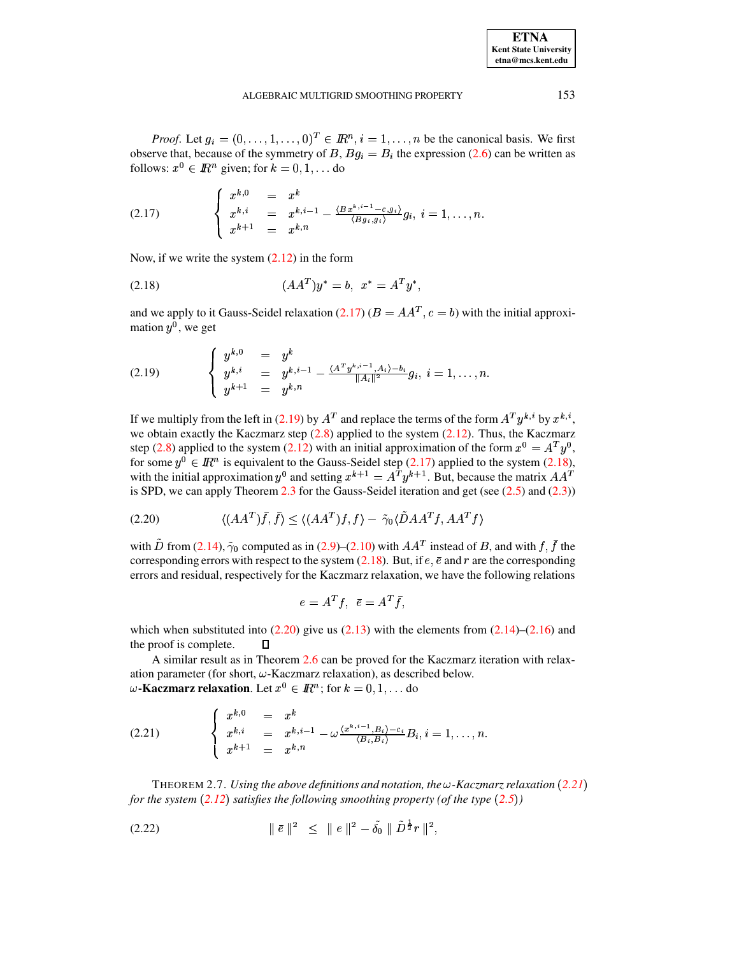*Proof.* Let  $g_i = (0, \ldots, 1, \ldots, 0)^T \in \mathbb{R}^n, i = 1, \ldots, n$  be the canonical basis. We first observe that, because of the symmetry of B,  $Bg_i = B_i$  the expression [\(2.6\)](#page-1-1) can be written as follows:  $x^0 \in \mathbb{R}^n$  given; for  $k = 0, 1, \dots$  do

<span id="page-3-0"></span>(2.17) 
$$
\begin{cases} x^{k,0} = x^k \\ x^{k,i} = x^{k,i-1} - \frac{\langle Bx^{k,i-1} - c, g_i \rangle}{\langle Bg_i, g_i \rangle} g_i, \ i = 1, \ldots, n. \\ x^{k+1} = x^{k,n} \end{cases}
$$

Now, if we write the system  $(2.12)$  in the form

<span id="page-3-2"></span>
$$
(2.18) \t\t (AAT)y^* = b, \t x^* = ATy^*,
$$

and we apply to it Gauss-Seidel relaxation [\(2.17\)](#page-3-0) ( $B = AA^T$ ,  $c = b$ ) with the initial approximation  $y^0$ , we get

<span id="page-3-1"></span>
$$
(2.19) \qquad \begin{cases} \begin{array}{rcl} y^{k,0} & = & y^k \\ y^{k,i} & = & y^{k,i-1} - \frac{\langle A^T y^{k,i-1}, A_i \rangle - b_i}{\|A_i\|^2} g_i, \ i = 1, \dots, n. \end{array} \\ y^{k+1} & = & y^{k,n} \end{array}
$$

If we multiply from the left in [\(2.19\)](#page-3-1) by  $A<sup>T</sup>$  and replace the terms of the form  $A<sup>T</sup> y<sup>k, i</sup>$  by  $x<sup>k, i</sup>$ , we obtain exactly the Kaczmarz step  $(2.8)$  applied to the system  $(2.12)$ . Thus, the Kaczmarz step [\(2.8\)](#page-1-4) applied to the system [\(2.12\)](#page-2-3) with an initial approximation of the form  $x^0 = A^T y^0$ , for some  $y^0 \in \mathbb{R}^n$  is equivalent to the Gauss-Seidel step [\(2.17\)](#page-3-0) applied to the system [\(2.18\)](#page-3-2), with the initial approximation  $y^0$  and setting  $x^{k+1} = A^T y^{k+1}$ . But, because the matrix  $AA^T$ is SPD, we can apply Theorem [2.3](#page-1-3) for the Gauss-Seidel iteration and get (see  $(2.5)$  and  $(2.3)$ )

<span id="page-3-3"></span>
$$
(2.20)\qquad \qquad \langle (AA^T)\bar{f}, \bar{f} \rangle \le \langle (AA^T)f, f \rangle - \tilde{\gamma}_0 \langle \tilde{D}AA^Tf, AA^Tf \rangle
$$

with D from [\(2.14\)](#page-2-4),  $\tilde{\gamma}_0$  computed as in [\(2.9\)](#page-2-5)–[\(2.10\)](#page-2-1) with  $AA^T$  instead of B, and with f, f the corresponding errors with respect to the system [\(2.18\)](#page-3-2). But, if  $e, \bar{e}$  and r are the corresponding errors and residual, respectively for the Kaczmarz relaxation, we have the following relations

$$
e = A^T f, \ \ \bar{e} = A^T \bar{f},
$$

which when substituted into  $(2.20)$  give us  $(2.13)$  with the elements from  $(2.14)$ – $(2.16)$  and the proof is complete.  $\Box$ 

A similar result as in Theorem [2.6](#page-2-8) can be proved for the Kaczmarz iteration with relaxation parameter (for short,  $\omega$ -Kaczmarz relaxation), as described below.  $\omega$ **-Kaczmarz relaxation**. Let  $x^0 \in I\!\!R^n$ ; for  $k=0,1,\ldots$  do

<span id="page-3-4"></span>(2.21) 
$$
\begin{cases} x^{k,0} = x^k \\ x^{k,i} = x^{k,i-1} - \omega \frac{\langle x^{k,i-1}, B_i \rangle - c_i}{\langle B_i, B_i \rangle} B_i, i = 1, \ldots, n. \\ x^{k+1} = x^{k,n} \end{cases}
$$

<span id="page-3-6"></span>THEOREM 2.7. *Using the above definitions and notation, the*  $\omega$ -Kaczmarz relaxation ([2.21](#page-3-4)) *for the system [2.12](#page-2-3) satisfies the following smoothing property (of the type [2.5](#page-1-0) )*

<span id="page-3-5"></span>
$$
(2.22) \t\t\t || \bar{e} ||^2 \le || e ||^2 - \tilde{\delta}_0 || \tilde{D}^{\frac{1}{2}} r ||^2,
$$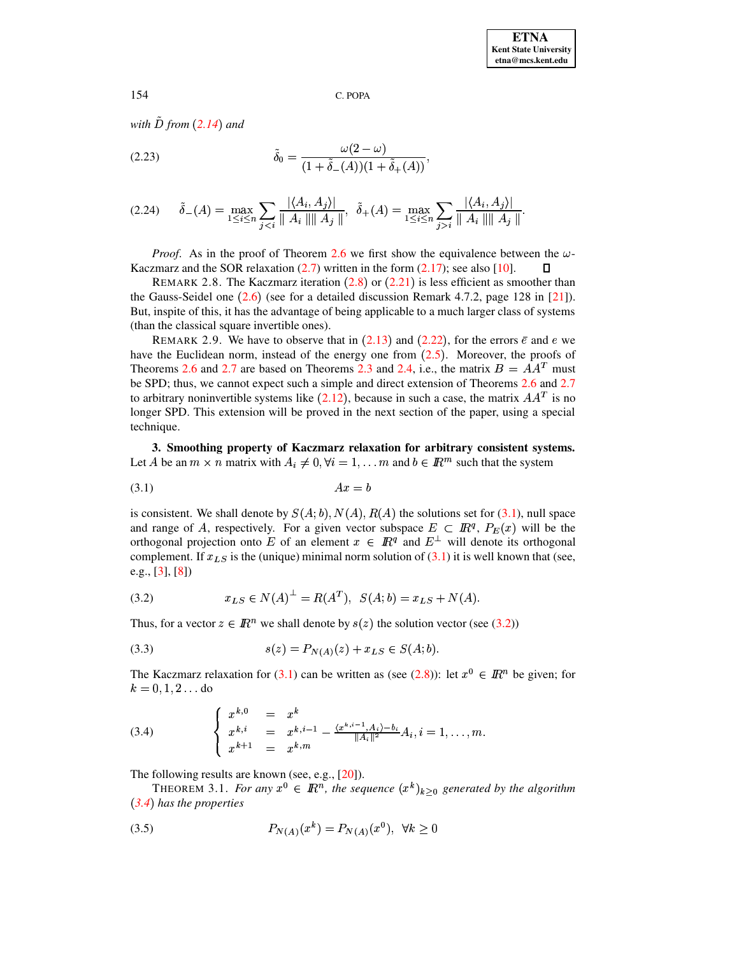*with D from* ([2.14](#page-2-4)) and

<span id="page-4-7"></span>
$$
\tilde{\delta}_0 = \frac{\omega(2-\omega)}{(1+\tilde{\delta}_-(A))(1+\tilde{\delta}_+(A))},
$$

<span id="page-4-6"></span>
$$
(2.24) \quad \tilde{\delta}_{-}(A) = \max_{1 \leq i \leq n} \sum_{j < i} \frac{|\langle A_i, A_j \rangle|}{\| A_i\| \| A_j\|}, \quad \tilde{\delta}_{+}(A) = \max_{1 \leq i \leq n} \sum_{j > i} \frac{|\langle A_i, A_j \rangle|}{\| A_i\| \| A_j\|}.
$$

*Proof.* As in the proof of Theorem [2.6](#page-2-8) we first show the equivalence between the  $\omega$ -Kaczmarz and the SOR relaxation  $(2.7)$  written in the form  $(2.17)$ ; see also [\[10\]](#page-11-9).  $\mathsf{\Pi}$ 

REMARK [2.8](#page-1-4). The Kaczmarz iteration  $(2.8)$  or  $(2.21)$  $(2.21)$  $(2.21)$  is less efficient as smoother than the Gauss-Seidel one  $(2.6)$  $(2.6)$  $(2.6)$  (see for a detailed discussion Remark 4.7.2, page 128 in [\[21\]](#page-12-2)). But, inspite of this, it has the advantage of being applicable to a much larger class of systems (than the classical square invertible ones).

<span id="page-4-0"></span>REMARK 2.9. We have to observe that in  $(2.13)$  $(2.13)$  $(2.13)$  and  $(2.22)$  $(2.22)$  $(2.22)$ , for the errors  $\bar{e}$  and e we have the Euclidean norm, instead of the energy one from  $(2.5)$  $(2.5)$  $(2.5)$ . Moreover, the proofs of Theorems [2.6](#page-2-8) and [2.7](#page-3-6) are based on Theorems [2.3](#page-1-3) and [2.4,](#page-2-2) i.e., the matrix  $B = AA^T$  must be SPD; thus, we cannot expect such a simple and direct extension of Theorems [2.6](#page-2-8) and [2.7](#page-3-6) to arbitrary noninvertible systems like  $(2.12)$  $(2.12)$  $(2.12)$ , because in such a case, the matrix  $AA<sup>T</sup>$  is no longer SPD. This extension will be proved in the next section of the paper, using a special technique.

**3. Smoothing property of Kaczmarz relaxation for arbitrary consistent systems.** Let A be an  $m \times n$  matrix with  $A_i \neq 0, \forall i = 1, \ldots m$  and  $b \in \mathbb{R}^m$  such that the system

<span id="page-4-1"></span>
$$
(3.1)\t\t\t\t Ax = b
$$

is consistent. We shall denote by  $S(A; b)$ ,  $N(A)$ ,  $R(A)$  the solutions set for [\(3.1\)](#page-4-1), null space and range of A, respectively. For a given vector subspace  $E \subset \mathbb{R}^q$ ,  $P_E(x)$  will be the orthogonal projection onto E of an element  $x \in \mathbb{R}^q$  and  $E^{\perp}$  will denote its orthogonal complement. If  $x_{LS}$  is the (unique) minimal norm solution of [\(3.1\)](#page-4-1) it is well known that (see, e.g., [\[3\]](#page-11-10), [\[8\]](#page-11-11))

<span id="page-4-2"></span>(3.2) 
$$
x_{LS} \in N(A)^{\perp} = R(A^T), \ \ S(A;b) = x_{LS} + N(A).
$$

Thus, for a vector  $z \in \mathbb{R}^n$  we shall denote by  $s(z)$  the solution vector (see [\(3.2\)](#page-4-2))

<span id="page-4-4"></span>(3.3) 
$$
s(z) = P_{N(A)}(z) + x_{LS} \in S(A;b).
$$

The Kaczmarz relaxation for [\(3.1\)](#page-4-1) can be written as (see [\(2.8\)](#page-1-4)): let  $x^0 \in \mathbb{R}^n$  be given; for  $k = 0, 1, 2 \ldots$ do

<span id="page-4-3"></span>(3.4) 
$$
\begin{cases} x^{k,0} = x^k \\ x^{k,i} = x^{k,i-1} - \frac{\langle x^{k,i-1}, A_i \rangle - b_i}{\|A_i\|^2} A_i, i = 1, \ldots, m. \\ x^{k+1} = x^{k,m} \end{cases}
$$

The following results are known (see, e.g., [\[20\]](#page-12-3)).

THEOREM 3.1. *For any*  $x^0 \in \mathbb{R}^n$ , the sequence  $(x^k)_{k \geq 0}$  generated by the algorithm *[3.4](#page-4-3) has the properties*

<span id="page-4-5"></span>(3.5) 
$$
P_{N(A)}(x^k) = P_{N(A)}(x^0), \ \forall k \ge 0
$$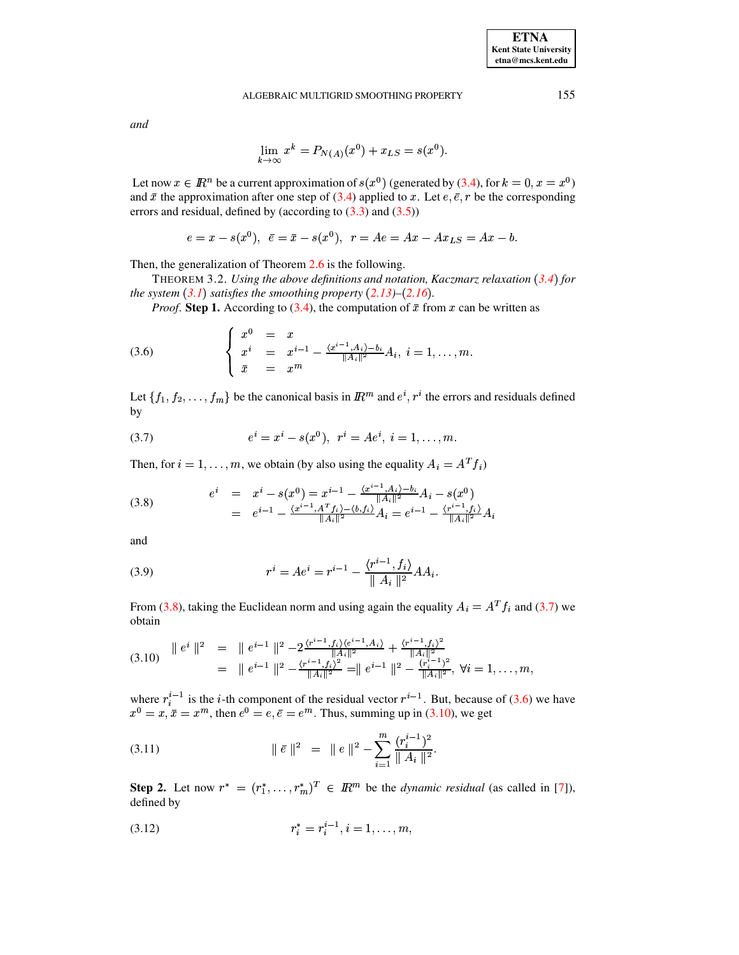#### ALGEBRAIC MULTIGRID SMOOTHING PROPERTY

and

<span id="page-5-7"></span>
$$
\lim_{k \to \infty} x^k = P_{N(A)}(x^0) + x_{LS} = s(x^0).
$$

Let now  $x \in \mathbb{R}^n$  be a current approximation of  $s(x^0)$  (generated by (3.4), for  $k = 0, x = x^0$ ) and  $\bar{x}$  the approximation after one step of (3.4) applied to x. Let  $e, \bar{e}, r$  be the corresponding errors and residual, defined by (according to  $(3.3)$  and  $(3.5)$ )

 $e = x - s(x^{0}), \ \ \bar{e} = \bar{x} - s(x^{0}), \ \ r = Ae = Ax - Ax_{LS} = Ax - b.$ 

Then, the generalization of Theorem  $2.6$  is the following.

THEOREM 3.2. Using the above definitions and notation, Kaczmarz relaxation (3.4) for the system  $(3.1)$  satisfies the smoothing property  $(2.13)$ – $(2.16)$ .

*Proof.* Step 1. According to (3.4), the computation of  $\bar{x}$  from x can be written as

<span id="page-5-2"></span>(3.6) 
$$
\begin{cases} x^{0} = x \\ x^{i} = x^{i-1} - \frac{\langle x^{i-1}, A_{i} \rangle - b_{i}}{\|A_{i}\|^{2}} A_{i}, i = 1, ..., m. \\ \bar{x} = x^{m} \end{cases}
$$

Let  $\{f_1, f_2, \ldots, f_m\}$  be the canonical basis in  $\mathbb{R}^m$  and  $e^i, r^i$  the errors and residuals defined by

<span id="page-5-1"></span>(3.7) 
$$
e^{i} = x^{i} - s(x^{0}), r^{i} = Ae^{i}, i = 1, ..., m.
$$

Then, for  $i = 1, ..., m$ , we obtain (by also using the equality  $A_i = A^T f_i$ )

<span id="page-5-0"></span>(3.8) 
$$
e^{i} = x^{i} - s(x^{0}) = x^{i-1} - \frac{\langle x^{i-1}, A_{i} \rangle - b_{i}}{\|A_{i}\|^{2}} A_{i} - s(x^{0})
$$

$$
= e^{i-1} - \frac{\langle x^{i-1}, A^{T} f_{i} \rangle - \langle b, f_{i} \rangle}{\|A_{i}\|^{2}} A_{i} = e^{i-1} - \frac{\langle r^{i-1}, f_{i} \rangle}{\|A_{i}\|^{2}} A_{i}
$$

and

<span id="page-5-6"></span>(3.9) 
$$
r^{i} = Ae^{i} = r^{i-1} - \frac{\langle r^{i-1}, f_i \rangle}{\| A_i \|^2} AA_i.
$$

From (3.8), taking the Euclidean norm and using again the equality  $A_i = A^T f_i$  and (3.7) we obtain

<span id="page-5-3"></span>
$$
(3.10) \quad \parallel e^{i} \parallel^{2} = \parallel e^{i-1} \parallel^{2} - 2 \frac{\langle r^{i-1}, f_{i} \rangle \langle e^{i-1}, A_{i} \rangle}{\|A_{i}\|^{2}} + \frac{\langle r^{i-1}, f_{i} \rangle^{2}}{\|A_{i}\|^{2}} \n= \parallel e^{i-1} \parallel^{2} - \frac{\langle r^{i-1}, f_{i} \rangle^{2}}{\|A_{i}\|^{2}} = \parallel e^{i-1} \parallel^{2} - \frac{\langle r^{i-1}, f_{i} \rangle^{2}}{\|A_{i}\|^{2}}, \forall i = 1, ..., m,
$$

where  $r_i^{i-1}$  is the *i*-th component of the residual vector  $r^{i-1}$ . But, because of (3.6) we have  $x^0 = x, \bar{x} = x^m$ , then  $e^0 = e, \bar{e} = e^m$ . Thus, summing up in (3.10), we get

<span id="page-5-4"></span>(3.11) 
$$
\|\bar{e}\|^2 = \|e\|^2 - \sum_{i=1}^m \frac{(r_i^{i-1})^2}{\|A_i\|^2}.
$$

**Step 2.** Let now  $r^* = (r_1^*, \dots, r_m^*)^T \in \mathbb{R}^m$  be the *dynamic residual* (as called in [7]), defined by

<span id="page-5-5"></span>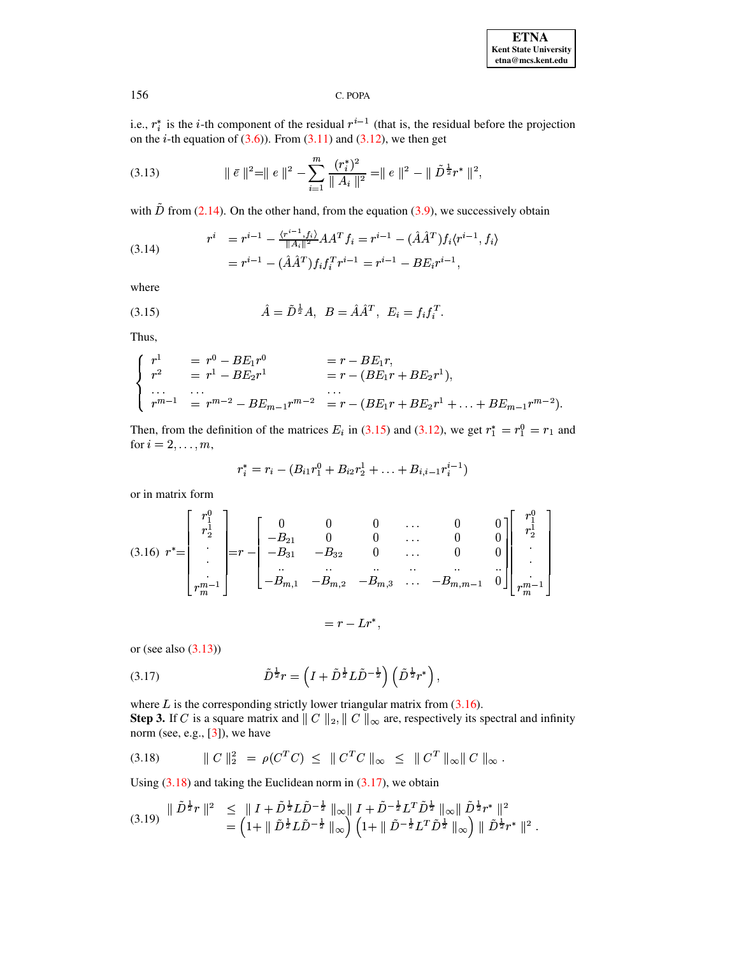**ETNA Kent State University**  $etna@mcs. kent.edu$ 

C. POPA

i.e.,  $r_i^*$  is the *i*-th component of the residual  $r^{i-1}$  (that is, the residual before the projection on the *i*-th equation of  $(3.6)$ ). From  $(3.11)$  and  $(3.12)$ , we then get

<span id="page-6-1"></span>(3.13) 
$$
\|\bar{e}\|^2 = \|e\|^2 - \sum_{i=1}^m \frac{(r_i^*)^2}{\|A_i\|^2} = \|e\|^2 - \|\tilde{D}^{\frac{1}{2}}r^*\|^2,
$$

with  $\tilde{D}$  from (2.14). On the other hand, from the equation (3.9), we successively obtain

(3.14) 
$$
r^{i} = r^{i-1} - \frac{\langle r^{i-1}, f_{i} \rangle}{\|A_{i}\|^{2}} A A^{T} f_{i} = r^{i-1} - (\hat{A} \hat{A}^{T}) f_{i} \langle r^{i-1}, f_{i} \rangle
$$

$$
= r^{i-1} - (\hat{A} \hat{A}^{T}) f_{i} f_{i}^{T} r^{i-1} = r^{i-1} - B E_{i} r^{i-1},
$$

where

<span id="page-6-0"></span>(3.15) 
$$
\hat{A} = \tilde{D}^{\frac{1}{2}}A, \ B = \hat{A}\hat{A}^T, \ E_i = f_i f_i^T.
$$

Thus,

$$
\begin{cases}\nr^1 = r^0 - BE_1r^0 = r - BE_1r, \\
r^2 = r^1 - BE_2r^1 = r - (BE_1r + BE_2r^1), \\
\cdots \\
r^{m-1} = r^{m-2} - BE_{m-1}r^{m-2} = r - (BE_1r + BE_2r^1 + \cdots + BE_{m-1}r^{m-2}).\n\end{cases}
$$

Then, from the definition of the matrices  $E_i$  in (3.15) and (3.12), we get  $r_1^* = r_1^0 = r_1$  and for  $i = 2, \ldots, m$ ,

$$
r_i^* = r_i - (B_{i1}r_1^0 + B_{i2}r_2^1 + \ldots + B_{i,i-1}r_i^{i-1})
$$

or in matrix form

<span id="page-6-2"></span>
$$
(3.16) \ \ r^* = \begin{bmatrix} r_1^0 \\ r_2^1 \\ \cdot \\ \cdot \\ \cdot \\ r_m^{m-1} \end{bmatrix} = r - \begin{bmatrix} 0 & 0 & 0 & \cdots & 0 & 0 \\ -B_{21} & 0 & 0 & \cdots & 0 & 0 \\ -B_{31} & -B_{32} & 0 & \cdots & 0 & 0 \\ \cdots & \cdots & \cdots & \cdots & \cdots & \cdots \\ -B_{m,1} & -B_{m,2} & -B_{m,3} & \cdots & -B_{m,m-1} & 0 \end{bmatrix} \begin{bmatrix} r_1^0 \\ r_2^1 \\ \vdots \\ \cdot \\ \cdot \\ \cdot \\ r_m^{m-1} \end{bmatrix}
$$

$$
= r - Lr^*,
$$

or (see also  $(3.13)$ )

<span id="page-6-4"></span>(3.17) 
$$
\tilde{D}^{\frac{1}{2}}r = \left(I + \tilde{D}^{\frac{1}{2}}L\tilde{D}^{-\frac{1}{2}}\right)\left(\tilde{D}^{\frac{1}{2}}r^*\right),
$$

where  $L$  is the corresponding strictly lower triangular matrix from  $(3.16)$ . **Step 3.** If C is a square matrix and  $\parallel$  C  $\parallel$ <sub>2</sub>,  $\parallel$  C  $\parallel$ <sub>∞</sub> are, respectively its spectral and infinity norm (see, e.g., [3]), we have

<span id="page-6-3"></span>
$$
(3.18) \t\t ||C||_2^2 = \rho(C^T C) \le ||C^T C||_{\infty} \le ||C^T||_{\infty} ||C||_{\infty}.
$$

Using  $(3.18)$  and taking the Euclidean norm in  $(3.17)$ , we obtain

<span id="page-6-5"></span>
$$
(3.19) \begin{array}{rcl} \|\tilde{D}^{\frac{1}{2}}r\|^{2} & \leq \|\,I + \tilde{D}^{\frac{1}{2}}L\tilde{D}^{-\frac{1}{2}}\|_{\infty}\|\,I + \tilde{D}^{-\frac{1}{2}}L^{T}\tilde{D}^{\frac{1}{2}}\|_{\infty}\|\,\tilde{D}^{\frac{1}{2}}r^{*}\|^{2} \\ & = \left(1 + \|\,\tilde{D}^{\frac{1}{2}}L\tilde{D}^{-\frac{1}{2}}\|_{\infty}\right)\left(1 + \|\,\tilde{D}^{-\frac{1}{2}}L^{T}\tilde{D}^{\frac{1}{2}}\|_{\infty}\right)\|\,\tilde{D}^{\frac{1}{2}}r^{*}\|^{2} \;.\end{array}
$$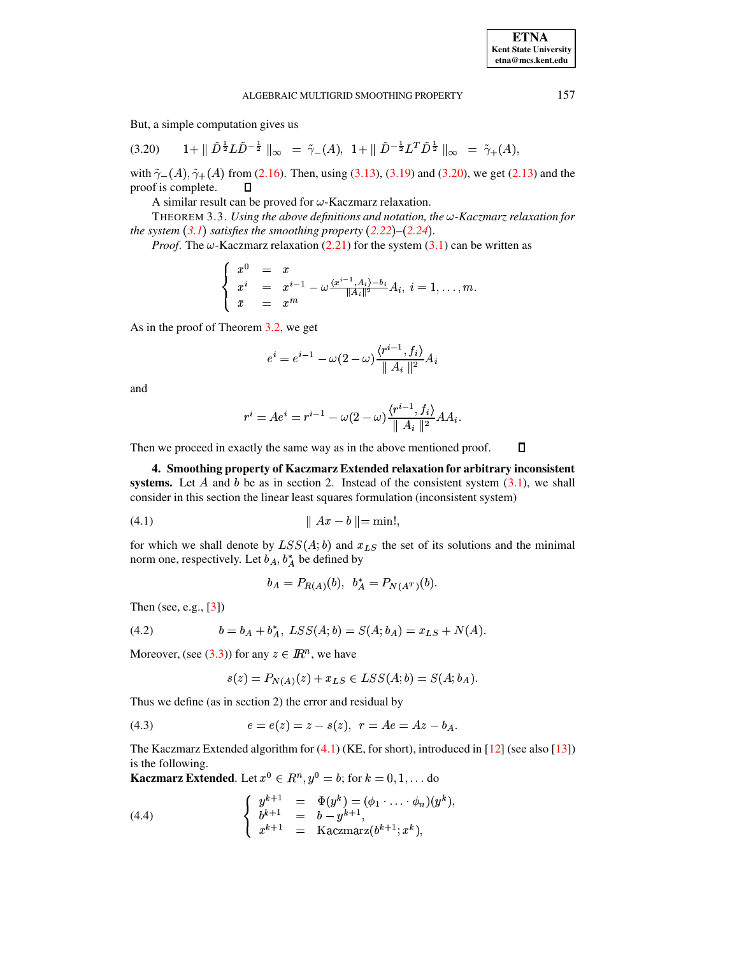$\Box$ 

#### ALGEBRAIC MULTIGRID SMOOTHING PROPERTY

But, a simple computation gives us

<span id="page-7-0"></span>
$$
(3.20) \t1 + || \tilde{D}^{\frac{1}{2}} L \tilde{D}^{-\frac{1}{2}} ||_{\infty} = \tilde{\gamma}_{-}(A), \ 1 + || \tilde{D}^{-\frac{1}{2}} L^{T} \tilde{D}^{\frac{1}{2}} ||_{\infty} = \tilde{\gamma}_{+}(A),
$$

with  $\tilde{\gamma}_{-}(A), \tilde{\gamma}_{+}(A)$  from (2.16). Then, using (3.13), (3.19) and (3.20), we get (2.13) and the proof is complete.  $\Box$ 

A similar result can be proved for  $\omega$ -Kaczmarz relaxation.

THEOREM 3.3. Using the above definitions and notation, the  $\omega$ -Kaczmarz relaxation for the system  $(3.1)$  satisfies the smoothing property  $(2.22)$ – $(2.24)$ .

*Proof.* The  $\omega$ -Kaczmarz relaxation (2.21) for the system (3.1) can be written as

$$
\begin{cases}\nx^0 = x \\
x^i = x^{i-1} - \omega \frac{\langle x^{i-1}, A_i \rangle - b_i}{\|A_i\|^2} A_i, \ i = 1, \dots, m. \\
\bar{x} = x^m\n\end{cases}
$$

As in the proof of Theorem 3.2, we get

$$
e^{i} = e^{i-1} - \omega(2-\omega) \frac{\langle r^{i-1}, f_i \rangle}{\| A_i \|^2} A_i
$$

and

$$
r^i=Ae^i=r^{i-1}-\omega(2-\omega)\frac{\langle r^{i-1},f_i\rangle}{\parallel A_i\parallel^2}AA_i.
$$

Then we proceed in exactly the same way as in the above mentioned proof.

4. Smoothing property of Kaczmarz Extended relaxation for arbitrary inconsistent systems. Let A and b be as in section 2. Instead of the consistent system  $(3.1)$ , we shall consider in this section the linear least squares formulation (inconsistent system)

for which we shall denote by  $LSS(A; b)$  and  $x_{LS}$  the set of its solutions and the minimal norm one, respectively. Let  $b_A$ ,  $b_A^*$  be defined by

<span id="page-7-1"></span>
$$
b_A = P_{R(A)}(b), \ \ b_A^* = P_{N(A^T)}(b).
$$

Then (see, e.g.,  $[3]$ )

<span id="page-7-4"></span>(4.2) 
$$
b = b_A + b_A^*, \text{LSS}(A; b) = S(A; b_A) = x_{LS} + N(A).
$$

Moreover, (see (3.3)) for any  $z \in \mathbb{R}^n$ , we have

$$
s(z) = P_{N(A)}(z) + x_{LS} \in LSS(A; b) = S(A; b_A).
$$

Thus we define (as in section 2) the error and residual by

<span id="page-7-2"></span>(4.3) 
$$
e = e(z) = z - s(z), \ \ r = Ae = Az - b_A.
$$

The Kaczmarz Extended algorithm for  $(4.1)$  (KE, for short), introduced in [12] (see also [13]) is the following.

**Kaczmarz Extended.** Let  $x^0 \in R^n$ ,  $y^0 = b$ ; for  $k = 0, 1, ...$  do

<span id="page-7-3"></span>(4.4) 
$$
\begin{cases} y^{k+1} = \Phi(y^k) = (\phi_1 \cdot \ldots \cdot \phi_n)(y^k), \\ b^{k+1} = b - y^{k+1}, \\ x^{k+1} = \text{Kaczmarz}(b^{k+1}; x^k), \end{cases}
$$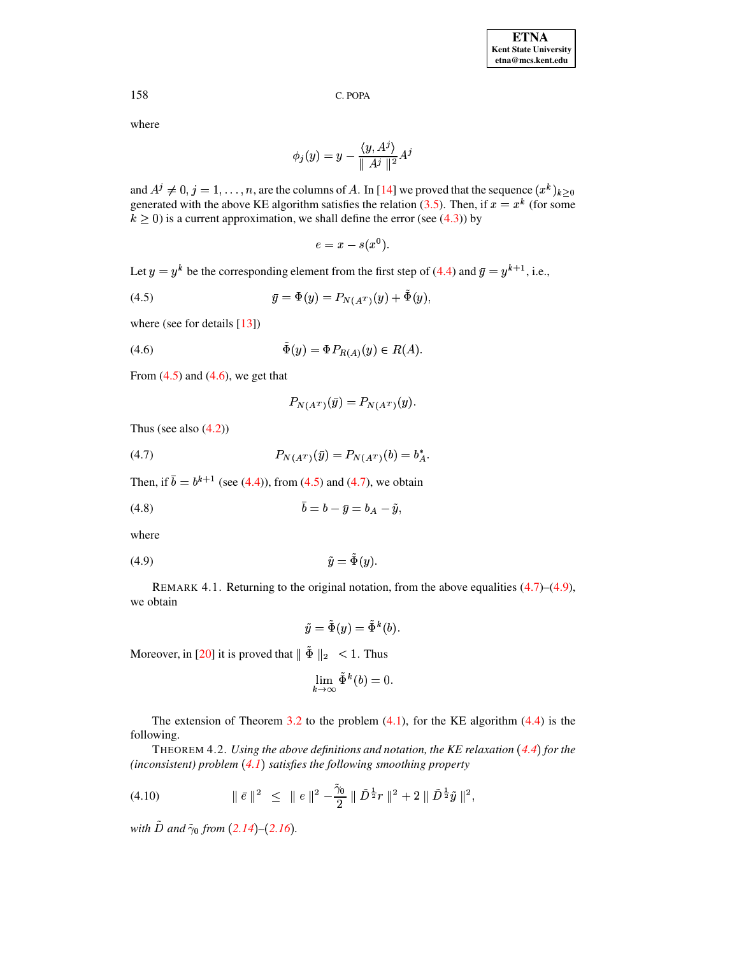where

$$
\phi_j(y) = y - \frac{\langle y, A^j \rangle}{\| A^j \|^2} A^j
$$

and  $A^j \neq 0, j = 1, ..., n$ , are the columns of A. In [14] we proved that the sequence  $(x^k)_{k \geq 0}$ generated with the above KE algorithm satisfies the relation (3.5). Then, if  $x = x^k$  (for some  $k > 0$ ) is a current approximation, we shall define the error (see (4.3)) by

$$
e = x - s(x^0).
$$

Let  $y = y^k$  be the corresponding element from the first step of (4.4) and  $\bar{y} = y^{k+1}$ , i.e.,

<span id="page-8-0"></span>(4.5) 
$$
\bar{y} = \Phi(y) = P_{N(A^T)}(y) + \tilde{\Phi}(y)
$$

where (see for details  $[13]$ )

<span id="page-8-1"></span>
$$
(4.6) \qquad \qquad \tilde{\Phi}(y) = \Phi P_{R(A)}(y) \in R(A).
$$

From  $(4.5)$  and  $(4.6)$ , we get that

$$
P_{N(A^T)}(\bar{y}) = P_{N(A^T)}(y).
$$

Thus (see also  $(4.2)$ )

<span id="page-8-2"></span>(4.7) 
$$
P_{N(A^T)}(\bar{y}) = P_{N(A^T)}(b) = b_A^*
$$

Then, if  $\bar{b} = b^{k+1}$  (see (4.4)), from (4.5) and (4.7), we obtain

$$
\bar{b} = b - \bar{y} = b_A - \tilde{y}
$$

where

REMARK 4.1. Returning to the original notation, from the above equalities  $(4.7)$ – $(4.9)$ , we obtain

<span id="page-8-3"></span>
$$
\tilde{y} = \tilde{\Phi}(y) = \tilde{\Phi}^k(b).
$$

Moreover, in [20] it is proved that  $\|\tilde{\Phi}\|_2 < 1$ . Thus

$$
\lim_{k \to \infty} \tilde{\Phi}^k(b) = 0.
$$

The extension of Theorem 3.2 to the problem  $(4.1)$ , for the KE algorithm  $(4.4)$  is the following.

<span id="page-8-5"></span>THEOREM 4.2. Using the above definitions and notation, the KE relaxation  $(4.4)$  for the (inconsistent) problem  $(4.1)$  satisfies the following smoothing property

<span id="page-8-4"></span>
$$
(4.10) \t\t\t || \bar{e} ||^2 \le ||e||^2 - \frac{\tilde{\gamma}_0}{2} || \tilde{D}^{\frac{1}{2}} r ||^2 + 2 || \tilde{D}^{\frac{1}{2}} \tilde{y} ||^2,
$$

with  $\tilde{D}$  and  $\tilde{\gamma}_0$  from (2.14)–(2.16).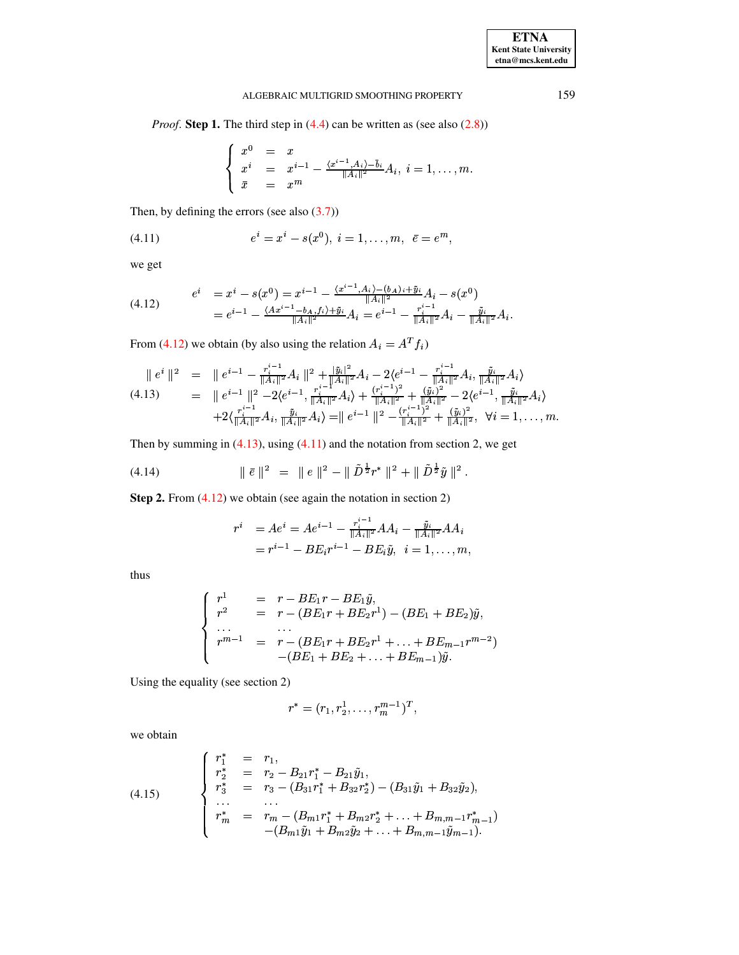# ALGEBRAIC MULTIGRID SMOOTHING PROPERTY 159

*Proof.* **Step 1.** The third step in [\(4.4\)](#page-7-3) can be written as (see also [\(2.8\)](#page-1-4))

$$
\left\{ \begin{array}{rcl} x^0 & = & x \\ x^i & = & x^{i-1} - \frac{\langle x^{i-1}, A_i \rangle - \bar{b}_i}{\|A_i\|^2} A_i, \ i = 1, \ldots, m. \\ \bar{x} & = & x^m \end{array} \right.
$$

Then, by defining the errors (see also  $(3.7)$ )

<span id="page-9-2"></span>(4.11) 
$$
e^{i} = x^{i} - s(x^{0}), i = 1, ..., m, \ \bar{e} = e^{m},
$$

we get

<span id="page-9-0"></span>
$$
(4.12) \t ei = xi - s(x0) = xi-1 - \frac{\langle x^{i-1}, A_i \rangle - (b_A)_i + \tilde{y}_i}{\|A_i\|^2} A_i - s(x0)
$$
  
= e<sup>i-1</sup> - \frac{\langle A x^{i-1} - b\_A, f\_i \rangle + \tilde{y}\_i}{\|A\_i\|^2} A\_i = e<sup>i-1</sup> - \frac{r\_i^{i-1}}{\|A\_i\|^2} A\_i - \frac{\tilde{y}\_i}{\|A\_i\|^2} A\_i.

From [\(4.12\)](#page-9-0) we obtain (by also using the relation  $A_i = A^T f_i$ )

<span id="page-9-1"></span>
$$
\begin{array}{rcl}\n\parallel e^{i} \parallel^{2} & = & \parallel e^{i-1} - \frac{r_{i}^{i-1}}{\|A_{i}\|^{2}} A_{i} \parallel^{2} + \frac{|\tilde{y}_{i}|^{2}}{\|A_{i}\|^{2}} A_{i} - 2\langle e^{i-1} - \frac{r_{i}^{i-1}}{\|A_{i}\|^{2}} A_{i}, \frac{\tilde{y}_{i}}{\|A_{i}\|^{2}} A_{i}\rangle \\
& = & \parallel e^{i-1} \parallel^{2} - 2\langle e^{i-1}, \frac{r_{i}^{i-1}}{\|A_{i}\|^{2}} A_{i}\rangle + \frac{(r_{i}^{i-1})^{2}}{\|A_{i}\|^{2}} + \frac{(\tilde{y}_{i})^{2}}{\|A_{i}\|^{2}} - 2\langle e^{i-1}, \frac{\tilde{y}_{i}}{\|A_{i}\|^{2}} A_{i}\rangle \\
& & + 2\langle \frac{r_{i}^{i-1}}{\|A_{i}\|^{2}} A_{i}, \frac{\tilde{y}_{i}}{\|A_{i}\|^{2}} A_{i}\rangle = & \parallel e^{i-1} \parallel^{2} - \frac{(r_{i}^{i-1})^{2}}{\|A_{i}\|^{2}} + \frac{(\tilde{y}_{i})^{2}}{\|A_{i}\|^{2}}, \quad \forall i = 1, \ldots, m.\n\end{array}
$$

Then by summing in  $(4.13)$ , using  $(4.11)$  and the notation from section 2, we get

<span id="page-9-4"></span>(4.14) 
$$
\|\bar{e}\|^2 = \|e\|^2 - \|\tilde{D}^{\frac{1}{2}}r^*\|^2 + \|\tilde{D}^{\frac{1}{2}}\tilde{y}\|^2.
$$

**Step 2.** From [\(4.12\)](#page-9-0) we obtain (see again the notation in section 2)

$$
\begin{array}{rl} r^i & = Ae^i = Ae^{i-1} - \frac{r_i^{i-1}}{\|A_i\|^2} AA_i - \frac{\tilde{y}_i}{\|A_i\|^2} AA_i \\ & = r^{i-1} - BE_ir^{i-1} - BE_i\tilde{y}, \ \ i=1,\ldots,m, \end{array}
$$

thus

$$
\begin{cases}\nr^1 & = r - BE_1r - BE_1\tilde{y}, \\
r^2 & = r - (BE_1r + BE_2r^1) - (BE_1 + BE_2)\tilde{y}, \\
\dots & \dots \\
r^{m-1} & = r - (BE_1r + BE_2r^1 + \dots + BE_{m-1}r^{m-2}) \\
-(BE_1 + BE_2 + \dots + BE_{m-1})\tilde{y}.\n\end{cases}
$$

Using the equality (see section 2)

$$
r^* = (r_1, r_2^1, \dots, r_m^{m-1})^T,
$$

we obtain

<span id="page-9-3"></span>(4.15) 
$$
\begin{cases}\nr_1^* = r_1, \\
r_2^* = r_2 - B_{21}r_1^* - B_{21}\tilde{y}_1, \\
r_3^* = r_3 - (B_{31}r_1^* + B_{32}r_2^*) - (B_{31}\tilde{y}_1 + B_{32}\tilde{y}_2), \\
\dots \\
r_m^* = r_m - (B_{m1}r_1^* + B_{m2}r_2^* + \dots + B_{m,m-1}r_{m-1}^*) - (B_{m1}\tilde{y}_1 + B_{m2}\tilde{y}_2 + \dots + B_{m,m-1}\tilde{y}_{m-1}).\n\end{cases}
$$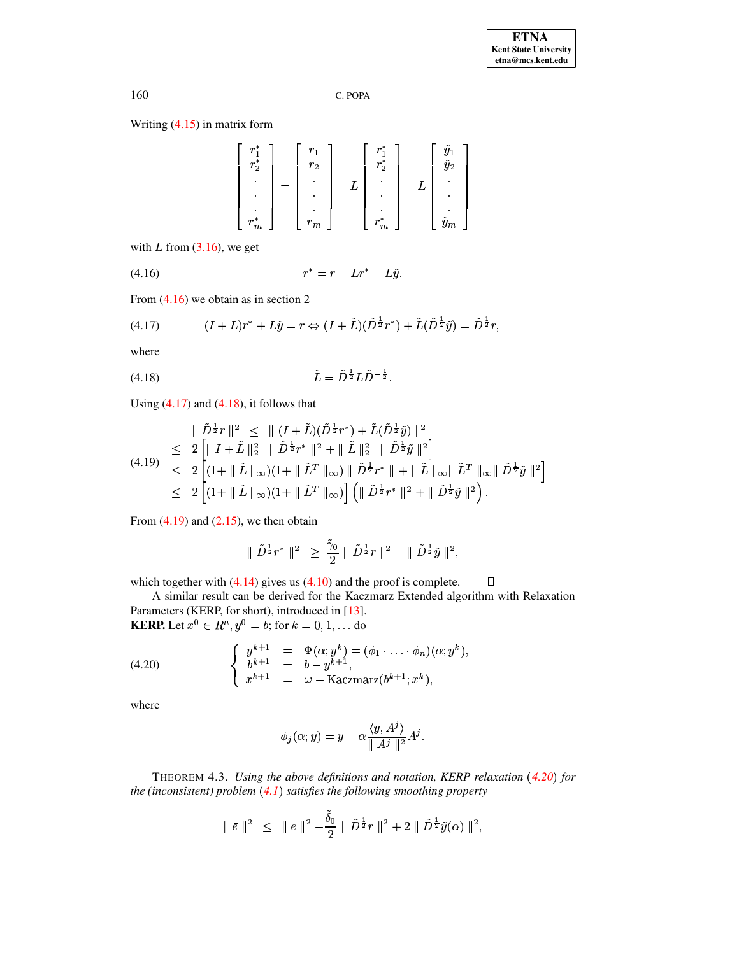Writing  $(4.15)$  in matrix form

| $r_{1}^*$<br>$r_{2}$      | r.<br>$r_{2}$ |   | $r^*$<br>$r_{\gamma}$ | $\tilde y_2$                             |
|---------------------------|---------------|---|-----------------------|------------------------------------------|
|                           | $\bullet$     | ⊥ |                       | $\bullet$<br>٠                           |
|                           |               |   |                       |                                          |
| $r^*$<br>$\boldsymbol{m}$ | m<br>$r_m$    |   | r<br>$\boldsymbol{m}$ | $\tilde{\phantom{a}}$<br>$\tilde{{y}}_m$ |

with L from  $(3.16)$ , we get

<span id="page-10-0"></span>

From  $(4.16)$  we obtain as in section 2

<span id="page-10-1"></span>(4.17) 
$$
(I + L)r^* + L\tilde{y} = r \Leftrightarrow (I + \tilde{L})(\tilde{D}^{\frac{1}{2}}r^*) + \tilde{L}(\tilde{D}^{\frac{1}{2}}\tilde{y}) = \tilde{D}^{\frac{1}{2}}r,
$$

where

<span id="page-10-2"></span>(4.18) 
$$
\tilde{L} = \tilde{D}^{\frac{1}{2}} L \tilde{D}^{-\frac{1}{2}}
$$

Using  $(4.17)$  and  $(4.18)$ , it follows that

<span id="page-10-3"></span>
$$
\|\tilde{D}^{\frac{1}{2}}r\|^2 \leq \| (I + \tilde{L})(\tilde{D}^{\frac{1}{2}}r^*) + \tilde{L}(\tilde{D}^{\frac{1}{2}}\tilde{y}) \|^2
$$
  
\n
$$
\leq 2 \left[ \| I + \tilde{L} \|_2^2 \| \tilde{D}^{\frac{1}{2}}r^* \|^2 + \| \tilde{L} \|_2^2 \| \tilde{D}^{\frac{1}{2}}\tilde{y} \|^2 \right]
$$
  
\n
$$
\leq 2 \left[ (1 + \| \tilde{L} \|_{\infty})(1 + \| \tilde{L}^T \|_{\infty}) \| \tilde{D}^{\frac{1}{2}}r^* \| + \| \tilde{L} \|_{\infty} \| \tilde{L}^T \|_{\infty} \| \tilde{D}^{\frac{1}{2}}\tilde{y} \|^2 \right]
$$
  
\n
$$
\leq 2 \left[ (1 + \| \tilde{L} \|_{\infty})(1 + \| \tilde{L}^T \|_{\infty}) \right] \left( \| \tilde{D}^{\frac{1}{2}}r^* \|^2 + \| \tilde{D}^{\frac{1}{2}}\tilde{y} \|^2 \right).
$$

From  $(4.19)$  and  $(2.15)$ , we then obtain

$$
\|\tilde{D}^{\frac{1}{2}}r^*\|^2 \geq \frac{\tilde{\gamma}_0}{2} \|\tilde{D}^{\frac{1}{2}}r\|^2 - \|\tilde{D}^{\frac{1}{2}}\tilde{y}\|^2,
$$

which together with  $(4.14)$  gives us  $(4.10)$  and the proof is complete.  $\Box$ 

A similar result can be derived for the Kaczmarz Extended algorithm with Relaxation Parameters (KERP, for short), introduced in [13].<br>KERP. Let  $x^0 \in R^n$ ,  $y^0 = b$ ; for  $k = 0, 1, ...$  do

<span id="page-10-4"></span>(4.20) 
$$
\begin{cases} y^{k+1} = \Phi(\alpha; y^k) = (\phi_1 \cdot \ldots \cdot \phi_n)(\alpha; y^k), \\ b^{k+1} = b - y^{k+1}, \\ x^{k+1} = \omega - \text{Kaczmarz}(b^{k+1}; x^k), \end{cases}
$$

where

$$
\phi_j(\alpha; y) = y - \alpha \frac{\langle y, A^j \rangle}{\| A^j \|^2} A^j.
$$

<span id="page-10-5"></span>THEOREM 4.3. Using the above definitions and notation, KERP relaxation (4.20) for the (inconsistent) problem  $(4.1)$  satisfies the following smoothing property

$$
\|\bar{e}\|^2 \leq \|e\|^2 - \frac{\tilde{\delta}_0}{2} \|\tilde{D}^{\frac{1}{2}}r\|^2 + 2 \|\tilde{D}^{\frac{1}{2}}\tilde{y}(\alpha)\|^2,
$$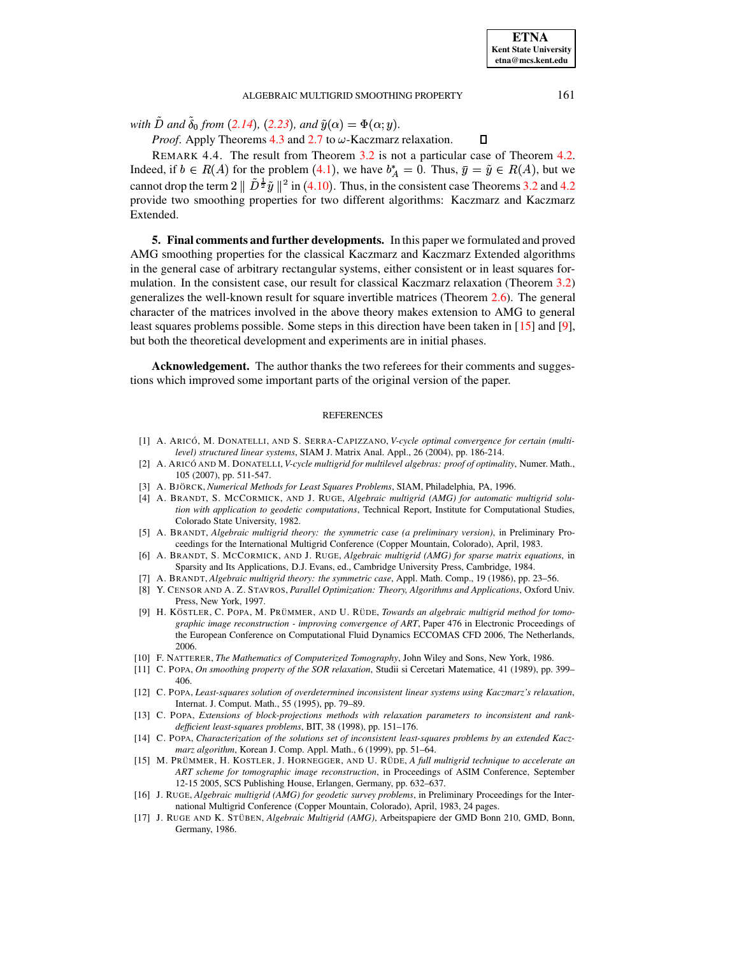$\Box$ 

### ALGEBRAIC MULTIGRID SMOOTHING PROPERTY 161

*with*  $D$  and  $\delta_0$  from ([2.14](#page-2-4)), ([2.23](#page-4-7)), and  $\tilde{y}(\alpha) = \Phi(\alpha; y)$ .

*Proof.* Apply Theorems  $4.3$  and  $2.7$  to  $\omega$ -Kaczmarz relaxation.

REMARK 4.4. The result from Theorem [3.2](#page-5-7) is not a particular case of Theorem [4.2.](#page-8-5) Indeed, if  $b \in R(A)$  for the problem ([4.1](#page-7-1)), we have  $b_A^* = 0$ . Thus,  $\bar{y} = \tilde{y} \in R(A)$ , but we cannot drop the term  $2 \parallel D^{\frac{1}{2}} \tilde{y} \parallel^2$  in ([4.10](#page-8-4)). Thus, in the consistent case Theorems [3.2](#page-5-7) and [4.2](#page-8-5) provide two smoothing properties for two different algorithms: Kaczmarz and Kaczmarz Extended.

**5. Final comments and further developments.** In this paper we formulated and proved AMG smoothing properties for the classical Kaczmarz and Kaczmarz Extended algorithms in the general case of arbitrary rectangular systems, either consistent or in least squares formulation. In the consistent case, our result for classical Kaczmarz relaxation (Theorem [3.2\)](#page-5-7) generalizes the well-known result for square invertible matrices (Theorem [2.6\)](#page-2-8). The general character of the matrices involved in the above theory makes extension to AMG to general least squares problems possible. Some steps in this direction have been taken in [\[15\]](#page-11-15) and [\[9\]](#page-11-16), but both the theoretical development and experiments are in initial phases.

**Acknowledgement.** The author thanks the two referees for their comments and suggestions which improved some important parts of the original version of the paper.

#### **REFERENCES**

- <span id="page-11-5"></span>[1] A. ARICÓ, M. DONATELLI, AND S. SERRA-CAPIZZANO, *V-cycle optimal convergence for certain (multilevel) structured linear systems*, SIAM J. Matrix Anal. Appl., 26 (2004), pp. 186-214.
- <span id="page-11-6"></span>[2] A. ARICO´ AND M. DONATELLI,*V-cycle multigrid for multilevel algebras: proof of optimality*, Numer. Math., 105 (2007), pp. 511-547.
- <span id="page-11-10"></span><span id="page-11-0"></span>[3] A. BJO¨ RCK, *Numerical Methods for Least Squares Problems*, SIAM, Philadelphia, PA, 1996.
- [4] A. BRANDT, S. MCCORMICK, AND J. RUGE, *Algebraic multigrid (AMG) for automatic multigrid solution with application to geodetic computations*, Technical Report, Institute for Computational Studies, Colorado State University, 1982.
- <span id="page-11-2"></span>[5] A. BRANDT, *Algebraic multigrid theory: the symmetric case (a preliminary version)*, in Preliminary Proceedings for the International Multigrid Conference (Copper Mountain, Colorado), April, 1983.
- <span id="page-11-7"></span><span id="page-11-1"></span>[6] A. BRANDT, S. MCCORMICK, AND J. RUGE, *Algebraic multigrid (AMG) for sparse matrix equations*, in Sparsity and Its Applications, D.J. Evans, ed., Cambridge University Press, Cambridge, 1984.
- [7] A. BRANDT, *Algebraic multigrid theory: the symmetric case*, Appl. Math. Comp., 19 (1986), pp. 23–56.
- <span id="page-11-11"></span>[8] Y. CENSOR AND A. Z. STAVROS, *Parallel Optimization: Theory, Algorithms and Applications*, Oxford Univ. Press, New York, 1997.
- <span id="page-11-16"></span>[9] H. KÖSTLER, C. POPA, M. PRÜMMER, AND U. RÜDE, *Towards an algebraic multigrid method for tomographic image reconstruction - improving convergence of ART*, Paper 476 in Electronic Proceedings of the European Conference on Computational Fluid Dynamics ECCOMAS CFD 2006, The Netherlands, 2006.
- <span id="page-11-9"></span><span id="page-11-8"></span>[10] F. NATTERER, *The Mathematics of Computerized Tomography*, John Wiley and Sons, New York, 1986.
- <span id="page-11-12"></span>[11] C. POPA, *On smoothing property of the SOR relaxation*, Studii si Cercetari Matematice, 41 (1989), pp. 399– 406.
- [12] C. POPA, *Least-squares solution of overdetermined inconsistent linear systems using Kaczmarz's relaxation*, Internat. J. Comput. Math., 55 (1995), pp. 79–89.
- <span id="page-11-13"></span>[13] C. POPA, *Extensions of block-projections methods with relaxation parameters to inconsistent and rankdefficient least-squares problems*, BIT, 38 (1998), pp. 151–176.
- <span id="page-11-14"></span>[14] C. POPA, *Characterization of the solutions set of inconsistent least-squares problems by an extended Kaczmarz algorithm*, Korean J. Comp. Appl. Math., 6 (1999), pp. 51–64.
- <span id="page-11-15"></span>[15] M. PRU¨ MMER, H. KOSTLER, J. HORNEGGER, AND U. RU¨ DE, *A full multigrid technique to accelerate an ART scheme for tomographic image reconstruction*, in Proceedings of ASIM Conference, September 12-15 2005, SCS Publishing House, Erlangen, Germany, pp. 632–637.
- <span id="page-11-3"></span>[16] J. RUGE, *Algebraic multigrid (AMG) for geodetic survey problems*, in Preliminary Proceedings for the International Multigrid Conference (Copper Mountain, Colorado), April, 1983, 24 pages.
- <span id="page-11-4"></span>[17] J. RUGE AND K. STÜBEN, *Algebraic Multigrid (AMG)*, Arbeitspapiere der GMD Bonn 210, GMD, Bonn, Germany, 1986.